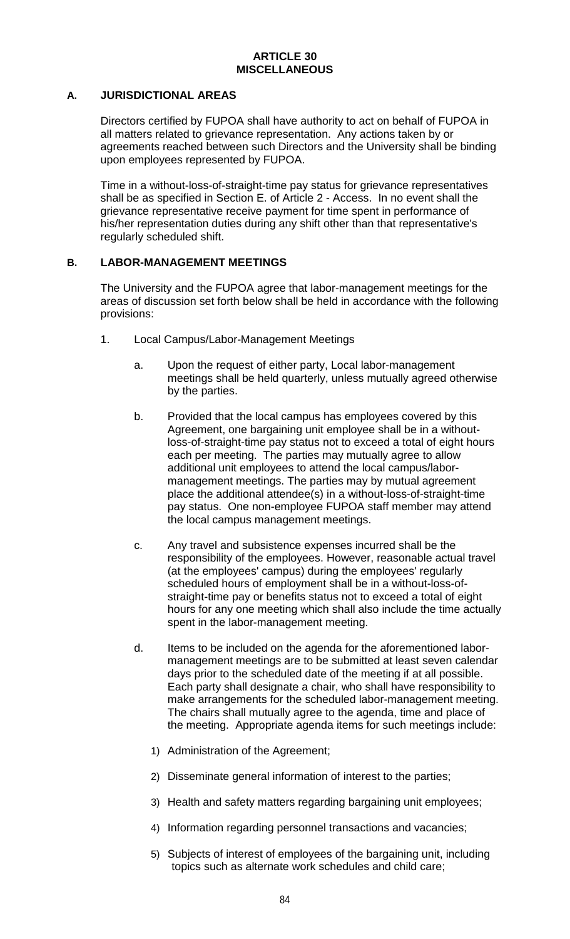#### **ARTICLE 30 MISCELLANEOUS**

## **A. JURISDICTIONAL AREAS**

Directors certified by FUPOA shall have authority to act on behalf of FUPOA in all matters related to grievance representation. Any actions taken by or agreements reached between such Directors and the University shall be binding upon employees represented by FUPOA.

Time in a without-loss-of-straight-time pay status for grievance representatives shall be as specified in Section E. of Article 2 - Access. In no event shall the grievance representative receive payment for time spent in performance of his/her representation duties during any shift other than that representative's regularly scheduled shift.

# **B. LABOR-MANAGEMENT MEETINGS**

The University and the FUPOA agree that labor-management meetings for the areas of discussion set forth below shall be held in accordance with the following provisions:

- 1. Local Campus/Labor-Management Meetings
	- a. Upon the request of either party, Local labor-management meetings shall be held quarterly, unless mutually agreed otherwise by the parties.
	- b. Provided that the local campus has employees covered by this Agreement, one bargaining unit employee shall be in a withoutloss-of-straight-time pay status not to exceed a total of eight hours each per meeting. The parties may mutually agree to allow additional unit employees to attend the local campus/labormanagement meetings. The parties may by mutual agreement place the additional attendee(s) in a without-loss-of-straight-time pay status. One non-employee FUPOA staff member may attend the local campus management meetings.
	- c. Any travel and subsistence expenses incurred shall be the responsibility of the employees. However, reasonable actual travel (at the employees' campus) during the employees' regularly scheduled hours of employment shall be in a without-loss-ofstraight-time pay or benefits status not to exceed a total of eight hours for any one meeting which shall also include the time actually spent in the labor-management meeting.
	- d. Items to be included on the agenda for the aforementioned labormanagement meetings are to be submitted at least seven calendar days prior to the scheduled date of the meeting if at all possible. Each party shall designate a chair, who shall have responsibility to make arrangements for the scheduled labor-management meeting. The chairs shall mutually agree to the agenda, time and place of the meeting. Appropriate agenda items for such meetings include:
		- 1) Administration of the Agreement;
		- 2) Disseminate general information of interest to the parties;
		- 3) Health and safety matters regarding bargaining unit employees;
		- 4) Information regarding personnel transactions and vacancies;
		- 5) Subjects of interest of employees of the bargaining unit, including topics such as alternate work schedules and child care;